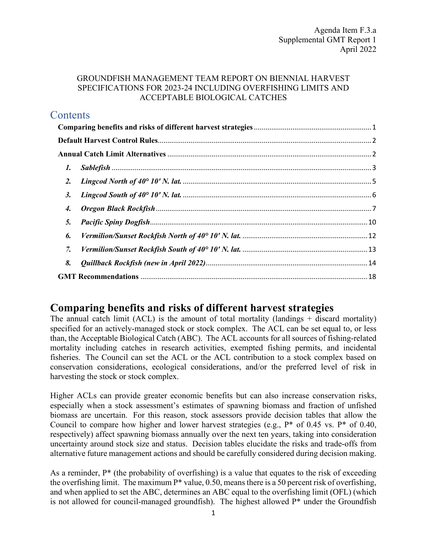## GROUNDFISH MANAGEMENT TEAM REPORT ON BIENNIAL HARVEST SPECIFICATIONS FOR 2023-24 INCLUDING OVERFISHING LIMITS AND ACCEPTABLE BIOLOGICAL CATCHES

## **Contents**

| $\mathbf{I}$ .  |  |
|-----------------|--|
| 2.              |  |
| 3.              |  |
| 4.              |  |
| 5.              |  |
| 6.              |  |
| $\mathcal{I}$ . |  |
| 8.              |  |
|                 |  |

## <span id="page-0-0"></span>**Comparing benefits and risks of different harvest strategies**

The annual catch limit  $(ACL)$  is the amount of total mortality (landings  $+$  discard mortality) specified for an actively-managed stock or stock complex. The ACL can be set equal to, or less than, the Acceptable Biological Catch (ABC). The ACL accounts for all sources of fishing-related mortality including catches in research activities, exempted fishing permits, and incidental fisheries. The Council can set the ACL or the ACL contribution to a stock complex based on conservation considerations, ecological considerations, and/or the preferred level of risk in harvesting the stock or stock complex.

Higher ACLs can provide greater economic benefits but can also increase conservation risks, especially when a stock assessment's estimates of spawning biomass and fraction of unfished biomass are uncertain. For this reason, stock assessors provide decision tables that allow the Council to compare how higher and lower harvest strategies (e.g.,  $P^*$  of 0.45 vs.  $P^*$  of 0.40, respectively) affect spawning biomass annually over the next ten years, taking into consideration uncertainty around stock size and status. Decision tables elucidate the risks and trade-offs from alternative future management actions and should be carefully considered during decision making.

As a reminder,  $P^*$  (the probability of overfishing) is a value that equates to the risk of exceeding the overfishing limit. The maximum  $P^*$  value, 0.50, means there is a 50 percent risk of overfishing, and when applied to set the ABC, determines an ABC equal to the overfishing limit (OFL) (which is not allowed for council-managed groundfish). The highest allowed  $P^*$  under the Groundfish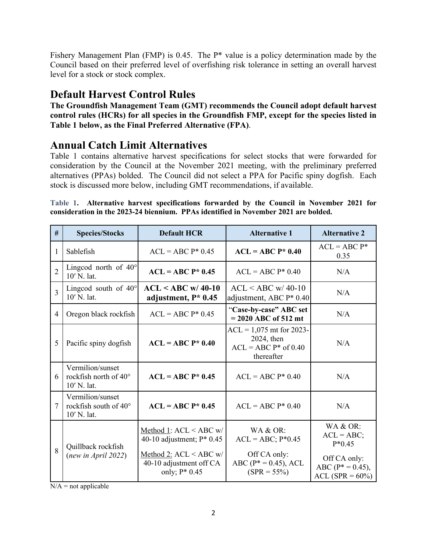Fishery Management Plan (FMP) is 0.45. The P\* value is a policy determination made by the Council based on their preferred level of overfishing risk tolerance in setting an overall harvest level for a stock or stock complex.

# <span id="page-1-0"></span>**Default Harvest Control Rules**

**The Groundfish Management Team (GMT) recommends the Council adopt default harvest control rules (HCRs) for all species in the Groundfish FMP, except for the species listed in [Table 1](#page-1-2) below, as the Final Preferred Alternative (FPA)**.

# <span id="page-1-1"></span>**Annual Catch Limit Alternatives**

[Table 1](#page-1-2) contains alternative harvest specifications for select stocks that were forwarded for consideration by the Council at the November 2021 meeting, with the preliminary preferred alternatives (PPAs) bolded. The Council did not select a PPA for Pacific spiny dogfish. Each stock is discussed more below, including GMT recommendations, if available.

<span id="page-1-2"></span>**Table 1. Alternative harvest specifications forwarded by the Council in November 2021 for consideration in the 2023-24 biennium. PPAs identified in November 2021 are bolded.**

| #              | <b>Species/Stocks</b>                                             | <b>Default HCR</b>                                                      | <b>Alternative 1</b>                                                             | <b>Alternative 2</b>                                     |
|----------------|-------------------------------------------------------------------|-------------------------------------------------------------------------|----------------------------------------------------------------------------------|----------------------------------------------------------|
| 1              | Sablefish                                                         | $ACL = ABC P* 0.45$                                                     | $ACL = ABC P* 0.40$                                                              | $ACL = ABC P^*$<br>0.35                                  |
| $\overline{2}$ | Lingcod north of $40^\circ$<br>10' N. lat.                        | $ACL = ABC P* 0.45$                                                     | $ACL = ABC P* 0.40$                                                              | N/A                                                      |
| 3              | Lingcod south of $40^\circ$<br>10' N. lat.                        | $ACL < ABC$ w/ 40-10<br>adjustment, $P^*$ 0.45                          | $ACL < ABC$ w/ 40-10<br>adjustment, ABC P* 0.40                                  | N/A                                                      |
| 4              | Oregon black rockfish                                             | $ACL = ABC P* 0.45$                                                     | "Case-by-case" ABC set<br>$= 2020$ ABC of 512 mt                                 | N/A                                                      |
| 5              | Pacific spiny dogfish                                             | $ACL = ABC P* 0.40$                                                     | $ACL = 1,075$ mt for 2023-<br>2024, then<br>$ACL = ABC P*$ of 0.40<br>thereafter | N/A                                                      |
| 6              | Vermilion/sunset<br>rockfish north of $40^\circ$<br>$10'$ N. lat. | $ACL = ABC P* 0.45$                                                     | $ACL = ABC P* 0.40$                                                              | N/A                                                      |
| 7              | Vermilion/sunset<br>rockfish south of 40°<br>10' N. lat.          | $ACL = ABC P* 0.45$                                                     | $ACL = ABC P* 0.40$                                                              | N/A                                                      |
|                | Quillback rockfish                                                | Method 1: $ACL < ABC$ w/<br>40-10 adjustment; $P^*$ 0.45                | WA & OR:<br>$ACL = ABC$ ; $P*0.45$                                               | WA & OR:<br>$ACL = ABC;$<br>$P*0.45$                     |
| 8              | (new in April 2022)                                               | Method 2: $ACL < ABC$ w/<br>40-10 adjustment off CA<br>only; $P^*$ 0.45 | Off CA only:<br>ABC ( $P^* = 0.45$ ), ACL<br>$(SPR = 55\%)$                      | Off CA only:<br>$ABC (P^* = 0.45),$<br>$ACL(SPR = 60\%)$ |

 $N/A$  = not applicable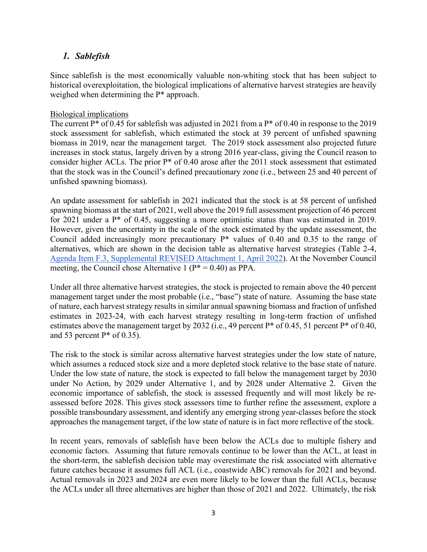## <span id="page-2-0"></span>*1. Sablefish*

Since sablefish is the most economically valuable non-whiting stock that has been subject to historical overexploitation, the biological implications of alternative harvest strategies are heavily weighed when determining the P\* approach.

## Biological implications

The current P<sup>\*</sup> of 0.45 for sablefish was adjusted in 2021 from a P<sup>\*</sup> of 0.40 in response to the 2019 stock assessment for sablefish, which estimated the stock at 39 percent of unfished spawning biomass in 2019, near the management target. The 2019 stock assessment also projected future increases in stock status, largely driven by a strong 2016 year-class, giving the Council reason to consider higher ACLs. The prior P\* of 0.40 arose after the 2011 stock assessment that estimated that the stock was in the Council's defined precautionary zone (i.e., between 25 and 40 percent of unfished spawning biomass).

An update assessment for sablefish in 2021 indicated that the stock is at 58 percent of unfished spawning biomass at the start of 2021, well above the 2019 full assessment projection of 46 percent for 2021 under a  $P^*$  of 0.45, suggesting a more optimistic status than was estimated in 2019. However, given the uncertainty in the scale of the stock estimated by the update assessment, the Council added increasingly more precautionary P\* values of 0.40 and 0.35 to the range of alternatives, which are shown in the decision table as alternative harvest strategies (Table 2-4, [Agenda Item F.3, Supplemental REVISED Attachment 1, April 2022\)](https://www.pcouncil.org/documents/2022/03/f-3-attachment-1-an-excerpt-of-the-analytical-document-with-the-description-of-2023-and-2024-harvest-specifications-and-the-biological-impacts-associated-with-alternative-harvest-specifications-unde.pdf/). At the November Council meeting, the Council chose Alternative 1 ( $P^* = 0.40$ ) as PPA.

Under all three alternative harvest strategies, the stock is projected to remain above the 40 percent management target under the most probable (i.e., "base") state of nature. Assuming the base state of nature, each harvest strategy results in similar annual spawning biomass and fraction of unfished estimates in 2023-24, with each harvest strategy resulting in long-term fraction of unfished estimates above the management target by 2032 (i.e., 49 percent P\* of 0.45, 51 percent P\* of 0.40, and 53 percent  $P^*$  of 0.35).

The risk to the stock is similar across alternative harvest strategies under the low state of nature, which assumes a reduced stock size and a more depleted stock relative to the base state of nature. Under the low state of nature, the stock is expected to fall below the management target by 2030 under No Action, by 2029 under Alternative 1, and by 2028 under Alternative 2. Given the economic importance of sablefish, the stock is assessed frequently and will most likely be reassessed before 2028. This gives stock assessors time to further refine the assessment, explore a possible transboundary assessment, and identify any emerging strong year-classes before the stock approaches the management target, if the low state of nature is in fact more reflective of the stock.

In recent years, removals of sablefish have been below the ACLs due to multiple fishery and economic factors. Assuming that future removals continue to be lower than the ACL, at least in the short-term, the sablefish decision table may overestimate the risk associated with alternative future catches because it assumes full ACL (i.e., coastwide ABC) removals for 2021 and beyond. Actual removals in 2023 and 2024 are even more likely to be lower than the full ACLs, because the ACLs under all three alternatives are higher than those of 2021 and 2022. Ultimately, the risk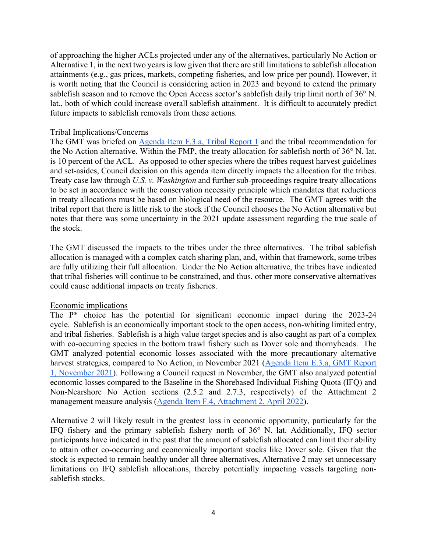of approaching the higher ACLs projected under any of the alternatives, particularly No Action or Alternative 1, in the next two years is low given that there are still limitations to sablefish allocation attainments (e.g., gas prices, markets, competing fisheries, and low price per pound). However, it is worth noting that the Council is considering action in 2023 and beyond to extend the primary sablefish season and to remove the Open Access sector's sablefish daily trip limit north of 36° N. lat., both of which could increase overall sablefish attainment. It is difficult to accurately predict future impacts to sablefish removals from these actions.

#### Tribal Implications/Concerns

The GMT was briefed on [Agenda Item F.3.a, Tribal Report 1](https://www.pcouncil.org/documents/2022/04/f-3-a-supplemental-tribal-report-1-joint-testimony-of-the-coastal-treaty-tribes-on-biennial-harvest-specifications-and-management-measures.pdf/) and the tribal recommendation for the No Action alternative. Within the FMP, the treaty allocation for sablefish north of 36° N. lat. is 10 percent of the ACL. As opposed to other species where the tribes request harvest guidelines and set-asides, Council decision on this agenda item directly impacts the allocation for the tribes. Treaty case law through *U.S. v. Washington* and further sub-proceedings require treaty allocations to be set in accordance with the conservation necessity principle which mandates that reductions in treaty allocations must be based on biological need of the resource. The GMT agrees with the tribal report that there is little risk to the stock if the Council chooses the No Action alternative but notes that there was some uncertainty in the 2021 update assessment regarding the true scale of the stock.

The GMT discussed the impacts to the tribes under the three alternatives. The tribal sablefish allocation is managed with a complex catch sharing plan, and, within that framework, some tribes are fully utilizing their full allocation. Under the No Action alternative, the tribes have indicated that tribal fisheries will continue to be constrained, and thus, other more conservative alternatives could cause additional impacts on treaty fisheries.

## Economic implications

The P\* choice has the potential for significant economic impact during the 2023-24 cycle. Sablefish is an economically important stock to the open access, non-whiting limited entry, and tribal fisheries. Sablefish is a high value target species and is also caught as part of a complex with co-occurring species in the bottom trawl fishery such as Dover sole and thornyheads. The GMT analyzed potential economic losses associated with the more precautionary alternative harvest strategies, compared to No Action, in November 2021 [\(Agenda Item E.3.a, GMT Report](https://www.pcouncil.org/documents/2021/11/e-3-a-gmt-report-1-groundfish-management-team-report-on-biennial-harvest-specifications-for-2023-24-including-overfishing-limits-and-acceptable-biological-catches.pdf/)  [1, November 2021\)](https://www.pcouncil.org/documents/2021/11/e-3-a-gmt-report-1-groundfish-management-team-report-on-biennial-harvest-specifications-for-2023-24-including-overfishing-limits-and-acceptable-biological-catches.pdf/). Following a Council request in November, the GMT also analyzed potential economic losses compared to the Baseline in the Shorebased Individual Fishing Quota (IFQ) and Non-Nearshore No Action sections (2.5.2 and 2.7.3, respectively) of the Attachment 2 management measure analysis [\(Agenda Item F.4, Attachment 2, April 2022\)](https://www.pcouncil.org/documents/2022/03/f-4-attachment-2-2023-2024-management-measure-analytical-document-electronic-only.pdf/).

Alternative 2 will likely result in the greatest loss in economic opportunity, particularly for the IFQ fishery and the primary sablefish fishery north of 36° N. lat. Additionally, IFQ sector participants have indicated in the past that the amount of sablefish allocated can limit their ability to attain other co-occurring and economically important stocks like Dover sole. Given that the stock is expected to remain healthy under all three alternatives, Alternative 2 may set unnecessary limitations on IFQ sablefish allocations, thereby potentially impacting vessels targeting nonsablefish stocks.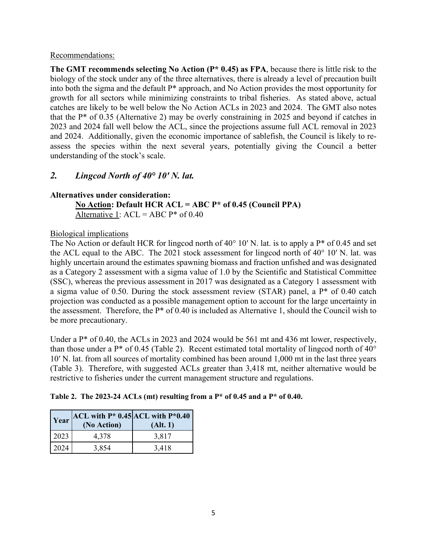## Recommendations:

**The GMT recommends selecting No Action (P\* 0.45) as FPA**, because there is little risk to the biology of the stock under any of the three alternatives, there is already a level of precaution built into both the sigma and the default P\* approach, and No Action provides the most opportunity for growth for all sectors while minimizing constraints to tribal fisheries. As stated above, actual catches are likely to be well below the No Action ACLs in 2023 and 2024. The GMT also notes that the P\* of 0.35 (Alternative 2) may be overly constraining in 2025 and beyond if catches in 2023 and 2024 fall well below the ACL, since the projections assume full ACL removal in 2023 and 2024. Additionally, given the economic importance of sablefish, the Council is likely to reassess the species within the next several years, potentially giving the Council a better understanding of the stock's scale.

## <span id="page-4-0"></span>*2. Lingcod North of 40° 10′ N. lat.*

## **Alternatives under consideration:**

**No Action: Default HCR ACL = ABC P\* of 0.45 (Council PPA)** Alternative 1:  $ACL = ABC P^*$  of 0.40

## Biological implications

The No Action or default HCR for lingcod north of 40° 10′ N. lat. is to apply a P<sup>\*</sup> of 0.45 and set the ACL equal to the ABC. The 2021 stock assessment for lingcod north of 40° 10′ N. lat. was highly uncertain around the estimates spawning biomass and fraction unfished and was designated as a Category 2 assessment with a sigma value of 1.0 by the Scientific and Statistical Committee (SSC), whereas the previous assessment in 2017 was designated as a Category 1 assessment with a sigma value of 0.50. During the stock assessment review (STAR) panel, a P\* of 0.40 catch projection was conducted as a possible management option to account for the large uncertainty in the assessment. Therefore, the P\* of 0.40 is included as Alternative 1, should the Council wish to be more precautionary.

Under a P<sup>\*</sup> of 0.40, the ACLs in 2023 and 2024 would be 561 mt and 436 mt lower, respectively, than those under a  $P^*$  of 0.45 [\(Table 2\)](#page-4-1). Recent estimated total mortality of lingcod north of  $40^\circ$ 10′ N. lat. from all sources of mortality combined has been around 1,000 mt in the last three years [\(Table 3\)](#page-5-1). Therefore, with suggested ACLs greater than 3,418 mt, neither alternative would be restrictive to fisheries under the current management structure and regulations.

## <span id="page-4-1"></span>**Table 2. The 2023-24 ACLs (mt) resulting from a P\* of 0.45 and a P\* of 0.40.**

| Year | ACL with $P^*$ 0.45 ACL with $P^*$ 0.40<br>(No Action) | (Alt. 1) |
|------|--------------------------------------------------------|----------|
| 2023 | 4,378                                                  | 3,817    |
| 2024 | 3,854                                                  | 3,418    |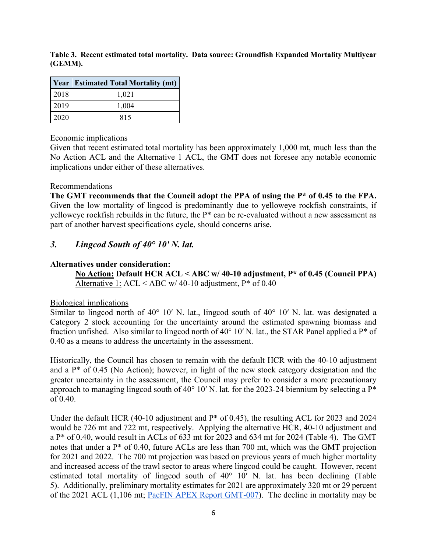<span id="page-5-1"></span>**Table 3. Recent estimated total mortality. Data source: Groundfish Expanded Mortality Multiyear (GEMM).**

|      | <b>Year Estimated Total Mortality (mt)</b> |
|------|--------------------------------------------|
| 2018 | 1,021                                      |
| 2019 | 1,004                                      |
| 2020 | 815                                        |

## Economic implications

Given that recent estimated total mortality has been approximately 1,000 mt, much less than the No Action ACL and the Alternative 1 ACL, the GMT does not foresee any notable economic implications under either of these alternatives.

#### Recommendations

**The GMT recommends that the Council adopt the PPA of using the P\* of 0.45 to the FPA.**  Given the low mortality of lingcod is predominantly due to yelloweye rockfish constraints, if yelloweye rockfish rebuilds in the future, the P\* can be re-evaluated without a new assessment as part of another harvest specifications cycle, should concerns arise.

## <span id="page-5-0"></span>*3. Lingcod South of 40° 10′ N. lat.*

## **Alternatives under consideration:**

**No Action: Default HCR ACL < ABC w/ 40-10 adjustment, P\* of 0.45 (Council PPA)** Alternative 1: ACL < ABC w/ 40-10 adjustment,  $P^*$  of 0.40

## Biological implications

Similar to lingcod north of 40° 10′ N. lat., lingcod south of 40° 10′ N. lat. was designated a Category 2 stock accounting for the uncertainty around the estimated spawning biomass and fraction unfished. Also similar to lingcod north of 40° 10′ N. lat., the STAR Panel applied a P\* of 0.40 as a means to address the uncertainty in the assessment.

Historically, the Council has chosen to remain with the default HCR with the 40-10 adjustment and a P\* of 0.45 (No Action); however, in light of the new stock category designation and the greater uncertainty in the assessment, the Council may prefer to consider a more precautionary approach to managing lingcod south of 40° 10′ N. lat. for the 2023-24 biennium by selecting a P\* of 0.40.

Under the default HCR (40-10 adjustment and P\* of 0.45), the resulting ACL for 2023 and 2024 would be 726 mt and 722 mt, respectively. Applying the alternative HCR, 40-10 adjustment and a P\* of 0.40, would result in ACLs of 633 mt for 2023 and 634 mt for 2024 [\(Table 4\)](#page-6-1). The GMT notes that under a P\* of 0.40, future ACLs are less than 700 mt, which was the GMT projection for 2021 and 2022. The 700 mt projection was based on previous years of much higher mortality and increased access of the trawl sector to areas where lingcod could be caught. However, recent estimated total mortality of lingcod south of 40° 10′ N. lat. has been declining ([Table](#page-6-2)  [5\)](#page-6-2). Additionally, preliminary mortality estimates for 2021 are approximately 320 mt or 29 percent of the 2021 ACL (1,106 mt; [PacFIN APEX Report GMT-007\)](https://reports.psmfc.org/pacfin/f?p=501:507:11691571370186:::::). The decline in mortality may be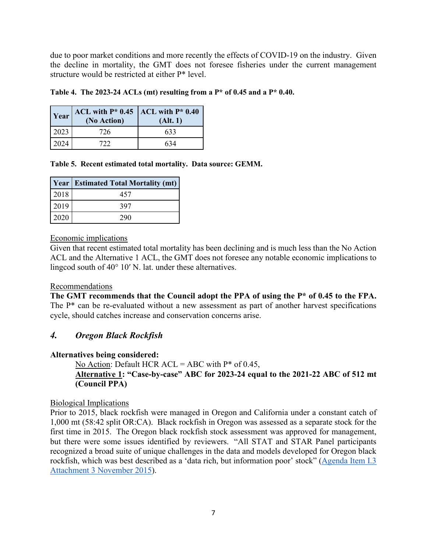due to poor market conditions and more recently the effects of COVID-19 on the industry. Given the decline in mortality, the GMT does not foresee fisheries under the current management structure would be restricted at either P\* level.

| $\vert$ Year $\vert$ ACL with P* 0.45 $\vert$ ACL with P* 0.40 |          |
|----------------------------------------------------------------|----------|
| (No Action)                                                    | (Alt. 1) |

<span id="page-6-1"></span>**Table 4. The 2023-24 ACLs (mt) resulting from a P\* of 0.45 and a P\* 0.40.**

<span id="page-6-2"></span>

|  |  | Table 5. Recent estimated total mortality. Data source: GEMM. |  |  |
|--|--|---------------------------------------------------------------|--|--|
|  |  |                                                               |  |  |

|      | <b>Year Estimated Total Mortality (mt)</b> |
|------|--------------------------------------------|
| 2018 | 457                                        |
| 2019 | 397                                        |
| 2020 | 290                                        |

2023 726 633 2024 722 634

Economic implications

Given that recent estimated total mortality has been declining and is much less than the No Action ACL and the Alternative 1 ACL, the GMT does not foresee any notable economic implications to lingcod south of 40° 10′ N. lat. under these alternatives.

## Recommendations

**The GMT recommends that the Council adopt the PPA of using the P\* of 0.45 to the FPA.**  The P<sup>\*</sup> can be re-evaluated without a new assessment as part of another harvest specifications cycle, should catches increase and conservation concerns arise.

## <span id="page-6-0"></span>*4. Oregon Black Rockfish*

## **Alternatives being considered:**

No Action: Default HCR  $ACL = ABC$  with  $P^*$  of 0.45, **Alternative 1: "Case-by-case" ABC for 2023-24 equal to the 2021-22 ABC of 512 mt (Council PPA)**

## Biological Implications

Prior to 2015, black rockfish were managed in Oregon and California under a constant catch of 1,000 mt (58:42 split OR:CA). Black rockfish in Oregon was assessed as a separate stock for the first time in 2015. The Oregon black rockfish stock assessment was approved for management, but there were some issues identified by reviewers. "All STAT and STAR Panel participants recognized a broad suite of unique challenges in the data and models developed for Oregon black rockfish, which was best described as a 'data rich, but information poor' stock" [\(Agenda Item I.3](https://www.pcouncil.org/documents/2016/04/sscs-groundfish-subcommittee-mop-up-stock-assessment-review-panel-meeting-black-rockfish-report-september-28-october-2-2015.pdf/)  [Attachment 3 November 2015\)](https://www.pcouncil.org/documents/2016/04/sscs-groundfish-subcommittee-mop-up-stock-assessment-review-panel-meeting-black-rockfish-report-september-28-october-2-2015.pdf/).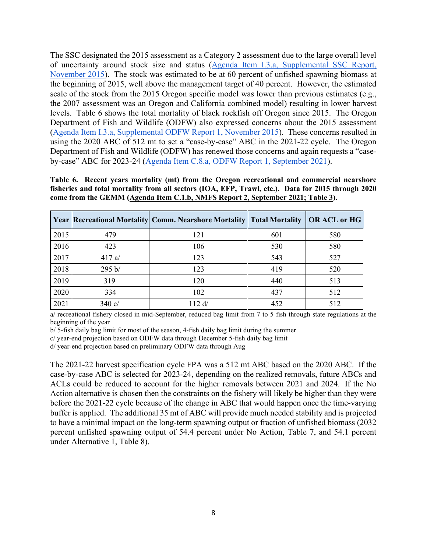The SSC designated the 2015 assessment as a Category 2 assessment due to the large overall level of uncertainty around stock size and status [\(Agenda Item I.3.a, Supplemental SSC Report,](https://www.pcouncil.org/documents/2015/11/agenda-item-i-3-a-supplemental-ssc-report.pdf/)  [November 2015\)](https://www.pcouncil.org/documents/2015/11/agenda-item-i-3-a-supplemental-ssc-report.pdf/). The stock was estimated to be at 60 percent of unfished spawning biomass at the beginning of 2015, well above the management target of 40 percent. However, the estimated scale of the stock from the 2015 Oregon specific model was lower than previous estimates (e.g., the 2007 assessment was an Oregon and California combined model) resulting in lower harvest levels. [Table 6](#page-7-0) shows the total mortality of black rockfish off Oregon since 2015. The Oregon Department of Fish and Wildlife (ODFW) also expressed concerns about the 2015 assessment [\(Agenda Item I.3.a, Supplemental ODFW Report 1, November 2015\)](https://www.pcouncil.org/documents/2015/11/agenda-item-i-3-a-supplemental-odfw-report-oregon-black-rockfish-stock-assessment.pdf/). These concerns resulted in using the 2020 ABC of 512 mt to set a "case-by-case" ABC in the 2021-22 cycle. The Oregon Department of Fish and Wildlife (ODFW) has renewed those concerns and again requests a "caseby-case" ABC for 2023-24 [\(Agenda Item C.8.a, ODFW Report 1, September 2021\)](https://www.pcouncil.org/documents/2021/08/c-8-a-odfw-report-1-odfw-report-on-2023-2024-preliminary-groundfish-harvest-specifications-and-management-measures.pdf/).

<span id="page-7-0"></span>**Table 6. Recent years mortality (mt) from the Oregon recreational and commercial nearshore fisheries and total mortality from all sectors (IOA, EFP, Trawl, etc.). Data for 2015 through 2020 come from the GEMM [\(Agenda Item C.1.b, NMFS Report 2, September 2021; Table 3\)](https://www.pcouncil.org/documents/2021/08/c-1-b-nmfs-report-2-groundfish-mortality-report-tables-excel-file-electronic-only.xlsx/).**

|      |                 | Year   Recreational Mortality   Comm. Nearshore Mortality   Total Mortality |     | OR ACL or HG |
|------|-----------------|-----------------------------------------------------------------------------|-----|--------------|
| 2015 | 479             | 121                                                                         | 601 | 580          |
| 2016 | 423             | 106                                                                         | 530 | 580          |
| 2017 | 417a/           | 123                                                                         | 543 | 527          |
| 2018 | 295 b/          | 123                                                                         | 419 | 520          |
| 2019 | 319             | 120                                                                         | 440 | 513          |
| 2020 | 334             | 102                                                                         | 437 | 512          |
| 2021 | $340 \text{ c}$ | 112 d/                                                                      | 452 | 512          |

a/ recreational fishery closed in mid-September, reduced bag limit from 7 to 5 fish through state regulations at the beginning of the year

b/ 5-fish daily bag limit for most of the season, 4-fish daily bag limit during the summer

c/ year-end projection based on ODFW data through December 5-fish daily bag limit

d/ year-end projection based on preliminary ODFW data through Aug

The 2021-22 harvest specification cycle FPA was a 512 mt ABC based on the 2020 ABC. If the case-by-case ABC is selected for 2023-24, depending on the realized removals, future ABCs and ACLs could be reduced to account for the higher removals between 2021 and 2024. If the No Action alternative is chosen then the constraints on the fishery will likely be higher than they were before the 2021-22 cycle because of the change in ABC that would happen once the time-varying buffer is applied. The additional 35 mt of ABC will provide much needed stability and is projected to have a minimal impact on the long-term spawning output or fraction of unfished biomass (2032 percent unfished spawning output of 54.4 percent under No Action, [Table 7,](#page-8-0) and 54.1 percent under Alternative 1, [Table 8\)](#page-8-1).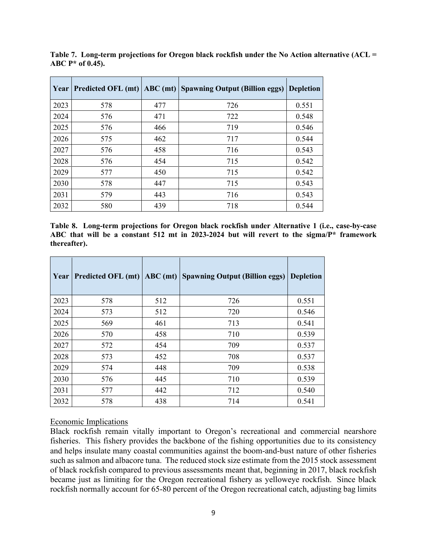| Year |     |     | Predicted OFL (mt)   ABC (mt)   Spawning Output (Billion eggs) | <b>Depletion</b> |
|------|-----|-----|----------------------------------------------------------------|------------------|
| 2023 | 578 | 477 | 726                                                            | 0.551            |
| 2024 | 576 | 471 | 722                                                            | 0.548            |
| 2025 | 576 | 466 | 719                                                            | 0.546            |
| 2026 | 575 | 462 | 717                                                            | 0.544            |
| 2027 | 576 | 458 | 716                                                            | 0.543            |
| 2028 | 576 | 454 | 715                                                            | 0.542            |
| 2029 | 577 | 450 | 715                                                            | 0.542            |
| 2030 | 578 | 447 | 715                                                            | 0.543            |
| 2031 | 579 | 443 | 716                                                            | 0.543            |
| 2032 | 580 | 439 | 718                                                            | 0.544            |

<span id="page-8-0"></span>**Table 7. Long-term projections for Oregon black rockfish under the No Action alternative (ACL = ABC P\* of 0.45).** 

<span id="page-8-1"></span>**Table 8. Long-term projections for Oregon black rockfish under Alternative 1 (i.e., case-by-case ABC that will be a constant 512 mt in 2023-2024 but will revert to the sigma/P\* framework thereafter).** 

| Year | <b>Predicted OFL (mt)</b> |     | <b>ABC</b> (mt) Spawning Output (Billion eggs) | <b>Depletion</b> |
|------|---------------------------|-----|------------------------------------------------|------------------|
| 2023 | 578                       | 512 | 726                                            | 0.551            |
| 2024 | 573                       | 512 | 720                                            | 0.546            |
| 2025 | 569                       | 461 | 713                                            | 0.541            |
| 2026 | 570                       | 458 | 710                                            | 0.539            |
| 2027 | 572                       | 454 | 709                                            | 0.537            |
| 2028 | 573                       | 452 | 708                                            | 0.537            |
| 2029 | 574                       | 448 | 709                                            | 0.538            |
| 2030 | 576                       | 445 | 710                                            | 0.539            |
| 2031 | 577                       | 442 | 712                                            | 0.540            |
| 2032 | 578                       | 438 | 714                                            | 0.541            |

## Economic Implications

Black rockfish remain vitally important to Oregon's recreational and commercial nearshore fisheries. This fishery provides the backbone of the fishing opportunities due to its consistency and helps insulate many coastal communities against the boom-and-bust nature of other fisheries such as salmon and albacore tuna. The reduced stock size estimate from the 2015 stock assessment of black rockfish compared to previous assessments meant that, beginning in 2017, black rockfish became just as limiting for the Oregon recreational fishery as yelloweye rockfish. Since black rockfish normally account for 65-80 percent of the Oregon recreational catch, adjusting bag limits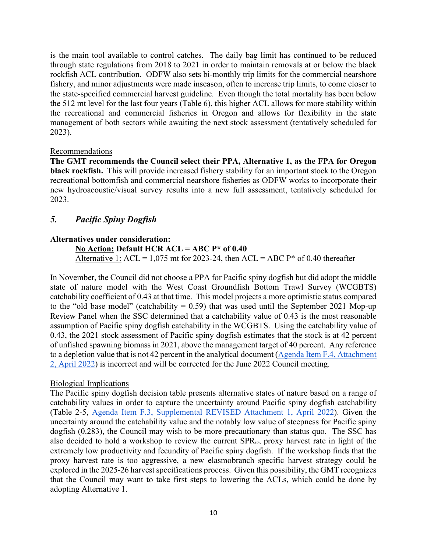is the main tool available to control catches. The daily bag limit has continued to be reduced through state regulations from 2018 to 2021 in order to maintain removals at or below the black rockfish ACL contribution. ODFW also sets bi-monthly trip limits for the commercial nearshore fishery, and minor adjustments were made inseason, often to increase trip limits, to come closer to the state-specified commercial harvest guideline. Even though the total mortality has been below the 512 mt level for the last four years [\(Table 6\)](#page-7-0), this higher ACL allows for more stability within the recreational and commercial fisheries in Oregon and allows for flexibility in the state management of both sectors while awaiting the next stock assessment (tentatively scheduled for 2023).

## Recommendations

**The GMT recommends the Council select their PPA, Alternative 1, as the FPA for Oregon black rockfish.** This will provide increased fishery stability for an important stock to the Oregon recreational bottomfish and commercial nearshore fisheries as ODFW works to incorporate their new hydroacoustic/visual survey results into a new full assessment, tentatively scheduled for 2023.

## <span id="page-9-0"></span>*5. Pacific Spiny Dogfish*

## **Alternatives under consideration:**

**No Action: Default HCR ACL = ABC P\* of 0.40** Alternative 1: ACL =  $1,075$  mt for 2023-24, then ACL = ABC P\* of 0.40 thereafter

In November, the Council did not choose a PPA for Pacific spiny dogfish but did adopt the middle state of nature model with the West Coast Groundfish Bottom Trawl Survey (WCGBTS) catchability coefficient of 0.43 at that time. This model projects a more optimistic status compared to the "old base model" (catchability  $= 0.59$ ) that was used until the September 2021 Mop-up Review Panel when the SSC determined that a catchability value of 0.43 is the most reasonable assumption of Pacific spiny dogfish catchability in the WCGBTS. Using the catchability value of 0.43, the 2021 stock assessment of Pacific spiny dogfish estimates that the stock is at 42 percent of unfished spawning biomass in 2021, above the management target of 40 percent. Any reference to a depletion value that is not 42 percent in the analytical document [\(Agenda Item F.4, Attachment](https://www.pcouncil.org/documents/2022/03/f-4-attachment-2-2023-2024-management-measure-analytical-document-electronic-only.pdf/)  [2, April 2022\)](https://www.pcouncil.org/documents/2022/03/f-4-attachment-2-2023-2024-management-measure-analytical-document-electronic-only.pdf/) is incorrect and will be corrected for the June 2022 Council meeting.

## Biological Implications

The Pacific spiny dogfish decision table presents alternative states of nature based on a range of catchability values in order to capture the uncertainty around Pacific spiny dogfish catchability (Table 2-5, [Agenda Item F.3, Supplemental REVISED Attachment 1, April 2022\)](https://www.pcouncil.org/documents/2022/03/f-3-attachment-1-an-excerpt-of-the-analytical-document-with-the-description-of-2023-and-2024-harvest-specifications-and-the-biological-impacts-associated-with-alternative-harvest-specifications-unde.pdf/). Given the uncertainty around the catchability value and the notably low value of steepness for Pacific spiny dogfish (0.283), the Council may wish to be more precautionary than status quo. The SSC has also decided to hold a workshop to review the current SPR<sub>50%</sub> proxy harvest rate in light of the extremely low productivity and fecundity of Pacific spiny dogfish. If the workshop finds that the proxy harvest rate is too aggressive, a new elasmobranch specific harvest strategy could be explored in the 2025-26 harvest specifications process. Given this possibility, the GMT recognizes that the Council may want to take first steps to lowering the ACLs, which could be done by adopting Alternative 1.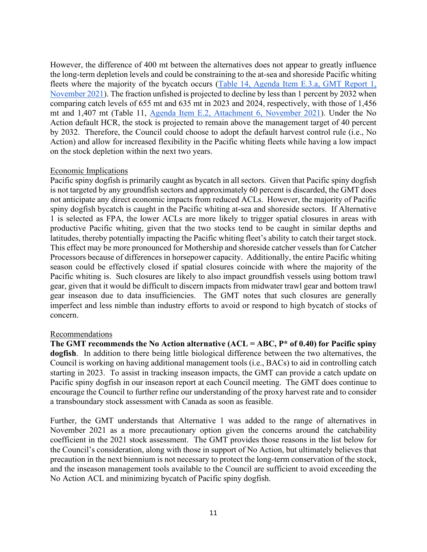However, the difference of 400 mt between the alternatives does not appear to greatly influence the long-term depletion levels and could be constraining to the at-sea and shoreside Pacific whiting fleets where the majority of the bycatch occurs (Table 14, Agenda Item E.3.a, GMT Report 1, [November 2021\)](https://www.pcouncil.org/documents/2021/11/e-3-a-gmt-report-1-groundfish-management-team-report-on-biennial-harvest-specifications-for-2023-24-including-overfishing-limits-and-acceptable-biological-catches.pdf/). The fraction unfished is projected to decline by less than 1 percent by 2032 when comparing catch levels of 655 mt and 635 mt in 2023 and 2024, respectively, with those of 1,456 mt and 1,407 mt (Table 11, [Agenda Item E.2, Attachment 6, November 2021\)](https://www.pcouncil.org/documents/2021/10/e-2-attachment-6-status-of-the-pacific-spiny-dogfish-shark-resource-off-the-continental-u-s-pacific-coast-in-2021-electronic-only.pdf/). Under the No Action default HCR, the stock is projected to remain above the management target of 40 percent by 2032. Therefore, the Council could choose to adopt the default harvest control rule (i.e., No Action) and allow for increased flexibility in the Pacific whiting fleets while having a low impact on the stock depletion within the next two years.

## Economic Implications

Pacific spiny dogfish is primarily caught as bycatch in all sectors. Given that Pacific spiny dogfish is not targeted by any groundfish sectors and approximately 60 percent is discarded, the GMT does not anticipate any direct economic impacts from reduced ACLs. However, the majority of Pacific spiny dogfish bycatch is caught in the Pacific whiting at-sea and shoreside sectors. If Alternative 1 is selected as FPA, the lower ACLs are more likely to trigger spatial closures in areas with productive Pacific whiting, given that the two stocks tend to be caught in similar depths and latitudes, thereby potentially impacting the Pacific whiting fleet's ability to catch their target stock. This effect may be more pronounced for Mothership and shoreside catcher vessels than for Catcher Processors because of differences in horsepower capacity. Additionally, the entire Pacific whiting season could be effectively closed if spatial closures coincide with where the majority of the Pacific whiting is. Such closures are likely to also impact groundfish vessels using bottom trawl gear, given that it would be difficult to discern impacts from midwater trawl gear and bottom trawl gear inseason due to data insufficiencies. The GMT notes that such closures are generally imperfect and less nimble than industry efforts to avoid or respond to high bycatch of stocks of concern.

## Recommendations

**The GMT recommends the No Action alternative (ACL = ABC, P\* of 0.40) for Pacific spiny dogfish**. In addition to there being little biological difference between the two alternatives, the Council is working on having additional management tools (i.e., BACs) to aid in controlling catch starting in 2023. To assist in tracking inseason impacts, the GMT can provide a catch update on Pacific spiny dogfish in our inseason report at each Council meeting. The GMT does continue to encourage the Council to further refine our understanding of the proxy harvest rate and to consider a transboundary stock assessment with Canada as soon as feasible.

Further, the GMT understands that Alternative 1 was added to the range of alternatives in November 2021 as a more precautionary option given the concerns around the catchability coefficient in the 2021 stock assessment. The GMT provides those reasons in the list below for the Council's consideration, along with those in support of No Action, but ultimately believes that precaution in the next biennium is not necessary to protect the long-term conservation of the stock, and the inseason management tools available to the Council are sufficient to avoid exceeding the No Action ACL and minimizing bycatch of Pacific spiny dogfish.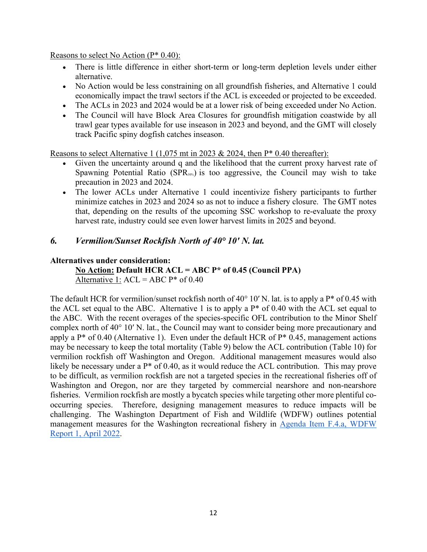Reasons to select No Action (P\* 0.40):

- There is little difference in either short-term or long-term depletion levels under either alternative.
- No Action would be less constraining on all groundfish fisheries, and Alternative 1 could economically impact the trawl sectors if the ACL is exceeded or projected to be exceeded.
- The ACLs in 2023 and 2024 would be at a lower risk of being exceeded under No Action.
- The Council will have Block Area Closures for groundfish mitigation coastwide by all trawl gear types available for use inseason in 2023 and beyond, and the GMT will closely track Pacific spiny dogfish catches inseason.

Reasons to select Alternative 1 (1,075 mt in 2023  $& 2024$ , then P\* 0.40 thereafter):

- Given the uncertainty around q and the likelihood that the current proxy harvest rate of Spawning Potential Ratio (SPR<sub>50%</sub>) is too aggressive, the Council may wish to take precaution in 2023 and 2024.
- The lower ACLs under Alternative 1 could incentivize fishery participants to further minimize catches in 2023 and 2024 so as not to induce a fishery closure. The GMT notes that, depending on the results of the upcoming SSC workshop to re-evaluate the proxy harvest rate, industry could see even lower harvest limits in 2025 and beyond.

## <span id="page-11-0"></span>*6. Vermilion/Sunset Rockfish North of 40° 10′ N. lat.*

## **Alternatives under consideration:**

**No Action: Default HCR ACL = ABC P\* of 0.45 (Council PPA)** Alternative 1:  $ACL = ABC P^*$  of 0.40

The default HCR for vermilion/sunset rockfish north of 40° 10′ N. lat. is to apply a P\* of 0.45 with the ACL set equal to the ABC. Alternative 1 is to apply a  $P^*$  of 0.40 with the ACL set equal to the ABC. With the recent overages of the species-specific OFL contribution to the Minor Shelf complex north of 40° 10′ N. lat., the Council may want to consider being more precautionary and apply a  $P^*$  of 0.40 (Alternative 1). Even under the default HCR of  $P^*$  0.45, management actions may be necessary to keep the total mortality [\(Table 9\)](#page-12-1) below the ACL contribution [\(Table 10\)](#page-12-2) for vermilion rockfish off Washington and Oregon. Additional management measures would also likely be necessary under a  $P^*$  of 0.40, as it would reduce the ACL contribution. This may prove to be difficult, as vermilion rockfish are not a targeted species in the recreational fisheries off of Washington and Oregon, nor are they targeted by commercial nearshore and non-nearshore fisheries. Vermilion rockfish are mostly a bycatch species while targeting other more plentiful cooccurring species. Therefore, designing management measures to reduce impacts will be challenging. The Washington Department of Fish and Wildlife (WDFW) outlines potential management measures for the Washington recreational fishery in [Agenda Item F.4.a, WDFW](https://www.pcouncil.org/documents/2022/03/f-4-a-wdfw-report-1-washington-department-of-fish-and-wildlife-report-on-2023-and-2024-groundfish-management-measures.pdf/)  [Report 1, April 2022.](https://www.pcouncil.org/documents/2022/03/f-4-a-wdfw-report-1-washington-department-of-fish-and-wildlife-report-on-2023-and-2024-groundfish-management-measures.pdf/)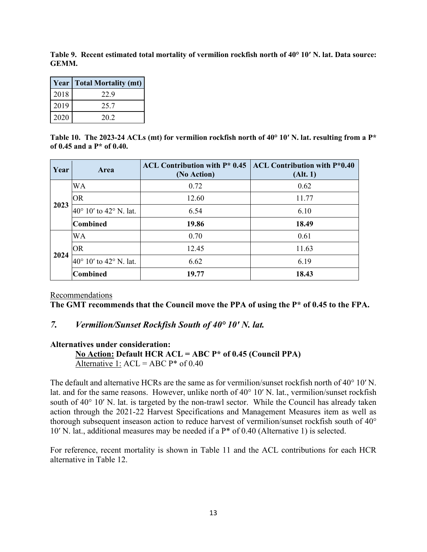<span id="page-12-1"></span>**Table 9. Recent estimated total mortality of vermilion rockfish north of 40° 10′ N. lat. Data source: GEMM.**

|      | <b>Year   Total Mortality (mt)</b> |
|------|------------------------------------|
| 2018 | 22.9                               |
| 2019 | 25.7                               |
| 2020 | 20.2                               |

<span id="page-12-2"></span>Table 10. The 2023-24 ACLs (mt) for vermilion rockfish north of 40° 10' N. lat. resulting from a P<sup>\*</sup> **of 0.45 and a P\* of 0.40.**

| Year | Area                                     | ACL Contribution with $P^*$ 0.45<br>(No Action) | <b>ACL Contribution with P*0.40</b><br>(Alt. 1) |
|------|------------------------------------------|-------------------------------------------------|-------------------------------------------------|
|      | WA                                       | 0.72                                            | 0.62                                            |
|      | <b>OR</b>                                | 12.60                                           | 11.77                                           |
| 2023 | 40 $\degree$ 10' to 42 $\degree$ N. lat. | 6.54                                            | 6.10                                            |
|      | <b>Combined</b>                          | 19.86                                           | 18.49                                           |
|      | WA                                       | 0.70                                            | 0.61                                            |
| 2024 | <b>OR</b>                                | 12.45                                           | 11.63                                           |
|      | $40^{\circ}$ 10' to $42^{\circ}$ N. lat. | 6.62                                            | 6.19                                            |
|      | <b>Combined</b>                          | 19.77                                           | 18.43                                           |

Recommendations

**The GMT recommends that the Council move the PPA of using the P\* of 0.45 to the FPA.**

## <span id="page-12-0"></span>*7. Vermilion/Sunset Rockfish South of 40° 10′ N. lat.*

#### **Alternatives under consideration:**

**No Action: Default HCR ACL = ABC P\* of 0.45 (Council PPA)** Alternative 1:  $ACL = ABC P^*$  of 0.40

The default and alternative HCRs are the same as for vermilion/sunset rockfish north of 40° 10′ N. lat. and for the same reasons. However, unlike north of 40° 10′ N. lat., vermilion/sunset rockfish south of 40° 10′ N. lat. is targeted by the non-trawl sector. While the Council has already taken action through the 2021-22 Harvest Specifications and Management Measures item as well as thorough subsequent inseason action to reduce harvest of vermilion/sunset rockfish south of 40° 10′ N. lat., additional measures may be needed if a P\* of 0.40 (Alternative 1) is selected.

For reference, recent mortality is shown in [Table 11](#page-13-1) and the ACL contributions for each HCR alternative in [Table 12.](#page-13-2)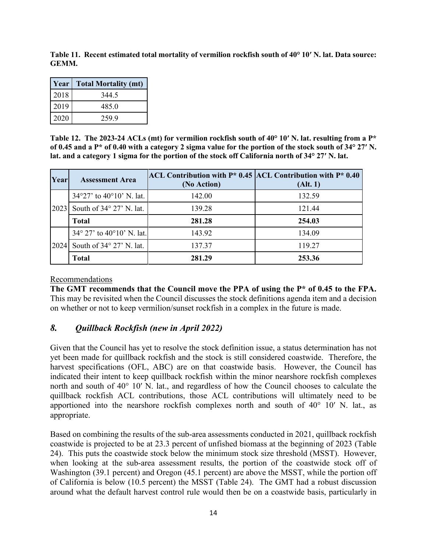<span id="page-13-1"></span>**Table 11. Recent estimated total mortality of vermilion rockfish south of 40° 10′ N. lat. Data source: GEMM.**

| Year | <b>Total Mortality (mt)</b> |
|------|-----------------------------|
| 2018 | 344.5                       |
| 2019 | 485.0                       |
| 2020 | 259.9                       |

<span id="page-13-2"></span>**Table 12. The 2023-24 ACLs (mt) for vermilion rockfish south of 40° 10′ N. lat. resulting from a P\* of 0.45 and a P\* of 0.40 with a category 2 sigma value for the portion of the stock south of 34° 27′ N. lat. and a category 1 sigma for the portion of the stock off California north of 34° 27′ N. lat.**

| Year | <b>Assessment Area</b>                      | ACL Contribution with $P^*$ 0.45 ACL Contribution with $P^*$ 0.40<br>(No Action) | (Alt. 1) |
|------|---------------------------------------------|----------------------------------------------------------------------------------|----------|
| 2023 | 34°27' to 40°10' N. lat.                    | 142.00                                                                           | 132.59   |
|      | South of 34° 27' N. lat.                    | 139.28                                                                           | 121.44   |
|      | <b>Total</b>                                | 281.28                                                                           | 254.03   |
| 2024 | $34^{\circ}$ 27' to $40^{\circ}10'$ N. lat. | 143.92                                                                           | 134.09   |
|      | South of $34^{\circ}$ 27' N. lat.           | 137.37                                                                           | 119.27   |
|      | Total                                       | 281.29                                                                           | 253.36   |

#### Recommendations

**The GMT recommends that the Council move the PPA of using the P\* of 0.45 to the FPA.**  This may be revisited when the Council discusses the stock definitions agenda item and a decision on whether or not to keep vermilion/sunset rockfish in a complex in the future is made.

## <span id="page-13-0"></span>*8. Quillback Rockfish (new in April 2022)*

Given that the Council has yet to resolve the stock definition issue, a status determination has not yet been made for quillback rockfish and the stock is still considered coastwide. Therefore, the harvest specifications (OFL, ABC) are on that coastwide basis. However, the Council has indicated their intent to keep quillback rockfish within the minor nearshore rockfish complexes north and south of 40° 10′ N. lat., and regardless of how the Council chooses to calculate the quillback rockfish ACL contributions, those ACL contributions will ultimately need to be apportioned into the nearshore rockfish complexes north and south of  $40^{\circ}$  10′ N. lat., as appropriate.

Based on combining the results of the sub-area assessments conducted in 2021, quillback rockfish coastwide is projected to be at 23.3 percent of unfished biomass at the beginning of 2023 (Table 24). This puts the coastwide stock below the minimum stock size threshold (MSST). However, when looking at the sub-area assessment results, the portion of the coastwide stock off of Washington (39.1 percent) and Oregon (45.1 percent) are above the MSST, while the portion off of California is below (10.5 percent) the MSST (Table 24). The GMT had a robust discussion around what the default harvest control rule would then be on a coastwide basis, particularly in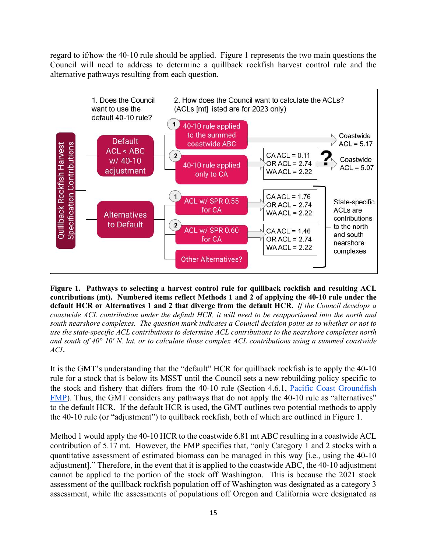regard to if/how the 40-10 rule should be applied. Figure 1 represents the two main questions the Council will need to address to determine a quillback rockfish harvest control rule and the alternative pathways resulting from each question.



<span id="page-14-0"></span>**Figure 1. Pathways to selecting a harvest control rule for quillback rockfish and resulting ACL contributions (mt). Numbered items reflect Methods 1 and 2 of applying the 40-10 rule under the default HCR or Alternatives 1 and 2 that diverge from the default HCR.** *If the Council develops a coastwide ACL contribution under the default HCR, it will need to be reapportioned into the north and south nearshore complexes. The question mark indicates a Council decision point as to whether or not to use the state-specific ACL contributions to determine ACL contributions to the nearshore complexes north and south of 40° 10′ N. lat. or to calculate those complex ACL contributions using a summed coastwide ACL.*

It is the GMT's understanding that the "default" HCR for quillback rockfish is to apply the 40-10 rule for a stock that is below its MSST until the Council sets a new rebuilding policy specific to the stock and fishery that differs from the 40-10 rule (Section 4.6.1, [Pacific Coast Groundfish](https://www.pcouncil.org/documents/2016/08/pacific-coast-groundfish-fishery-management-plan.pdf/)  [FMP\)](https://www.pcouncil.org/documents/2016/08/pacific-coast-groundfish-fishery-management-plan.pdf/). Thus, the GMT considers any pathways that do not apply the 40-10 rule as "alternatives" to the default HCR. If the default HCR is used, the GMT outlines two potential methods to apply the 40-10 rule (or "adjustment") to quillback rockfish, both of which are outlined in [Figure 1.](#page-14-0)

Method 1 would apply the 40-10 HCR to the coastwide 6.81 mt ABC resulting in a coastwide ACL contribution of 5.17 mt. However, the FMP specifies that, "only Category 1 and 2 stocks with a quantitative assessment of estimated biomass can be managed in this way [i.e., using the 40-10 adjustment]." Therefore, in the event that it is applied to the coastwide ABC, the 40-10 adjustment cannot be applied to the portion of the stock off Washington. This is because the 2021 stock assessment of the quillback rockfish population off of Washington was designated as a category 3 assessment, while the assessments of populations off Oregon and California were designated as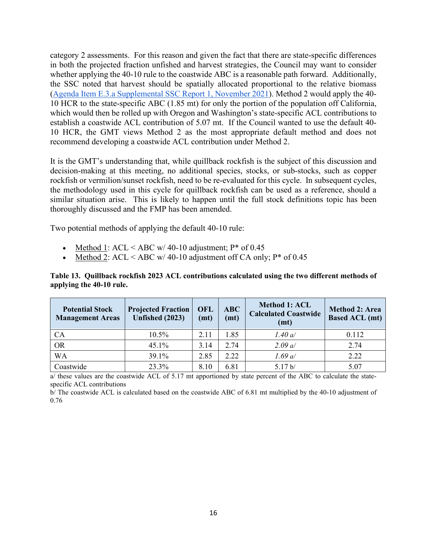category 2 assessments. For this reason and given the fact that there are state-specific differences in both the projected fraction unfished and harvest strategies, the Council may want to consider whether applying the 40-10 rule to the coastwide ABC is a reasonable path forward. Additionally, the SSC noted that harvest should be spatially allocated proportional to the relative biomass [\(Agenda Item E.3.a Supplemental SSC Report 1, November](https://www.pcouncil.org/documents/2021/11/e-3-a-supplemental-ssc-report-1-2.pdf/) 2021). Method 2 would apply the 40- 10 HCR to the state-specific ABC (1.85 mt) for only the portion of the population off California, which would then be rolled up with Oregon and Washington's state-specific ACL contributions to establish a coastwide ACL contribution of 5.07 mt. If the Council wanted to use the default 40- 10 HCR, the GMT views Method 2 as the most appropriate default method and does not recommend developing a coastwide ACL contribution under Method 2.

It is the GMT's understanding that, while quillback rockfish is the subject of this discussion and decision-making at this meeting, no additional species, stocks, or sub-stocks, such as copper rockfish or vermilion/sunset rockfish, need to be re-evaluated for this cycle. In subsequent cycles, the methodology used in this cycle for quillback rockfish can be used as a reference, should a similar situation arise. This is likely to happen until the full stock definitions topic has been thoroughly discussed and the FMP has been amended.

Two potential methods of applying the default 40-10 rule:

- Method 1: ACL < ABC w/ 40-10 adjustment;  $P^*$  of 0.45
- Method 2:  $ACL < ABC$  w/ 40-10 adjustment off CA only;  $P^*$  of 0.45

#### **Table 13. Quillback rockfish 2023 ACL contributions calculated using the two different methods of applying the 40-10 rule.**

| <b>Potential Stock</b><br><b>Management Areas</b> | <b>Projected Fraction</b><br><b>Unfished (2023)</b> | OFL<br>(mt) | ABC<br>(mt) | <b>Method 1: ACL</b><br><b>Calculated Coastwide</b><br>(mt) | <b>Method 2: Area</b><br><b>Based ACL (mt)</b> |
|---------------------------------------------------|-----------------------------------------------------|-------------|-------------|-------------------------------------------------------------|------------------------------------------------|
| CA                                                | 10.5%                                               | 2.11        | 1.85        | 1.40 a/                                                     | 0.112                                          |
| <b>OR</b>                                         | 45.1%                                               | 3.14        | 2.74        | 2.09 a/                                                     | 2.74                                           |
| <b>WA</b>                                         | 39.1%                                               | 2.85        | 2.22        | 1.69 a/                                                     | 2.22                                           |
| Coastwide                                         | 23.3%                                               | 8.10        | 6.81        | 5.17 b/                                                     | 5.07                                           |

a/ these values are the coastwide ACL of 5.17 mt apportioned by state percent of the ABC to calculate the statespecific ACL contributions

b/ The coastwide ACL is calculated based on the coastwide ABC of 6.81 mt multiplied by the 40-10 adjustment of 0.76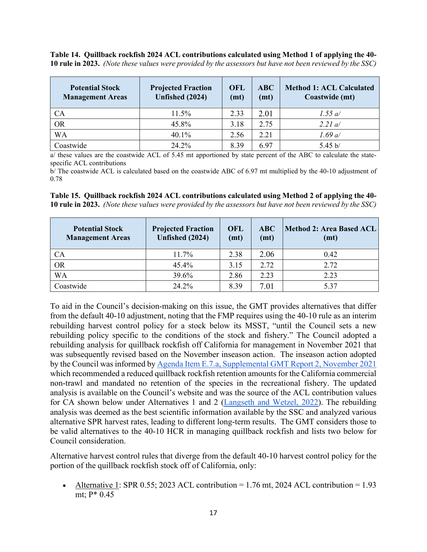**Table 14. Quillback rockfish 2024 ACL contributions calculated using Method 1 of applying the 40- 10 rule in 2023.** *(Note these values were provided by the assessors but have not been reviewed by the SSC)*

| <b>Potential Stock</b><br><b>Management Areas</b> | <b>Projected Fraction</b><br>Unfished (2024) | <b>OFL</b><br>(mt) | ABC<br>(mt) | <b>Method 1: ACL Calculated</b><br>Coastwide (mt) |
|---------------------------------------------------|----------------------------------------------|--------------------|-------------|---------------------------------------------------|
| <b>CA</b>                                         | 11.5%                                        | 2.33               | 2.01        | 1.55 a/                                           |
| <b>OR</b>                                         | 45.8%                                        | 3.18               | 2.75        | 2.21 a/                                           |
| <b>WA</b>                                         | 40.1%                                        | 2.56               | 2.21        | 1.69 a/                                           |
| Coastwide                                         | 24.2%                                        | 8.39               | 6.97        | 5.45 b/                                           |

a/ these values are the coastwide ACL of 5.45 mt apportioned by state percent of the ABC to calculate the statespecific ACL contributions

b/ The coastwide ACL is calculated based on the coastwide ABC of 6.97 mt multiplied by the 40-10 adjustment of 0.78

| <b>Potential Stock</b><br><b>Management Areas</b> | <b>Projected Fraction</b><br>Unfished (2024) | <b>OFL</b><br>(mt) | ABC<br>(mt) | Method 2: Area Based ACL<br>(mt) |
|---------------------------------------------------|----------------------------------------------|--------------------|-------------|----------------------------------|
| <b>CA</b>                                         | 11.7%                                        | 2.38               | 2.06        | 0.42                             |
| <b>OR</b>                                         | 45.4%                                        | 3.15               | 2.72        | 2.72                             |
| <b>WA</b>                                         | 39.6%                                        | 2.86               | 2.23        | 2.23                             |
| Coastwide                                         | 24.2%                                        | 8.39               | 7.01        | 5.37                             |

**Table 15. Quillback rockfish 2024 ACL contributions calculated using Method 2 of applying the 40- 10 rule in 2023.** *(Note these values were provided by the assessors but have not been reviewed by the SSC)*

To aid in the Council's decision-making on this issue, the GMT provides alternatives that differ from the default 40-10 adjustment, noting that the FMP requires using the 40-10 rule as an interim rebuilding harvest control policy for a stock below its MSST, "until the Council sets a new rebuilding policy specific to the conditions of the stock and fishery." The Council adopted a rebuilding analysis for quillback rockfish off California for management in November 2021 that was subsequently revised based on the November inseason action. The inseason action adopted by the Council was informed b[y Agenda Item E.7.a, Supplemental GMT Report 2, November 2021](https://www.pcouncil.org/documents/2021/11/e-7-a-supplemental-gmt-report-2.pdf/) which recommended a reduced quillback rockfish retention amounts for the California commercial non-trawl and mandated no retention of the species in the recreational fishery. The updated analysis is available on the Council's website and was the source of the ACL contribution values for CA shown below under Alternatives 1 and 2 [\(Langseth and Wetzel, 2022\)](https://www.pcouncil.org/documents/2022/01/draft-rebuilding-analysis-for-quillback-rockfish-sebastes-maliger-in-u-s-waters-off-the-coast-of-california-based-on-the-2021-stock-assessment-incorporating-november-2021-council-meeting-requests.pdf/). The rebuilding analysis was deemed as the best scientific information available by the SSC and analyzed various alternative SPR harvest rates, leading to different long-term results. The GMT considers those to be valid alternatives to the 40-10 HCR in managing quillback rockfish and lists two below for Council consideration.

Alternative harvest control rules that diverge from the default 40-10 harvest control policy for the portion of the quillback rockfish stock off of California, only:

Alternative 1: SPR 0.55; 2023 ACL contribution  $= 1.76$  mt, 2024 ACL contribution  $= 1.93$ mt; P\* 0.45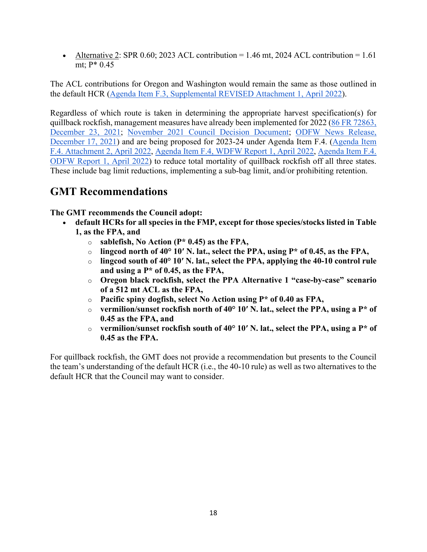• Alternative 2: SPR 0.60; 2023 ACL contribution = 1.46 mt, 2024 ACL contribution = 1.61 mt; P\* 0.45

The ACL contributions for Oregon and Washington would remain the same as those outlined in the default HCR [\(Agenda Item F.3, Supplemental REVISED Attachment 1, April 2022\)](https://www.pcouncil.org/documents/2022/03/f-3-attachment-1-an-excerpt-of-the-analytical-document-with-the-description-of-2023-and-2024-harvest-specifications-and-the-biological-impacts-associated-with-alternative-harvest-specifications-unde.pdf/).

Regardless of which route is taken in determining the appropriate harvest specification(s) for quillback rockfish, management measures have already been implemented for 2022 [\(86 FR 72863,](https://www.federalregister.gov/documents/2021/12/23/2021-27901/magnuson-stevens-act-provisions-fisheries-off-west-coast-states-pacific-coast-groundfish-fishery)  [December 23, 2021;](https://www.federalregister.gov/documents/2021/12/23/2021-27901/magnuson-stevens-act-provisions-fisheries-off-west-coast-states-pacific-coast-groundfish-fishery) [November 2021 Council Decision Document;](https://www.pcouncil.org/november-2021-decision-summary-document/#groundfish-management-toc-86dd10cf-b75a-495f-8904-085666f47642) [ODFW News Release,](https://www.dfw.state.or.us/news/2021/12_Dec/121721.asp)  [December 17, 2021\)](https://www.dfw.state.or.us/news/2021/12_Dec/121721.asp) and are being proposed for 2023-24 under Agenda Item F.4. [\(Agenda Item](https://www.pcouncil.org/documents/2022/03/f-4-attachment-2-2023-2024-management-measure-analytical-document-electronic-only.pdf/)  [F.4. Attachment 2, April 2022,](https://www.pcouncil.org/documents/2022/03/f-4-attachment-2-2023-2024-management-measure-analytical-document-electronic-only.pdf/) [Agenda Item F.4, WDFW Report 1, April 2022,](https://www.pcouncil.org/documents/2022/03/f-4-a-wdfw-report-1-washington-department-of-fish-and-wildlife-report-on-2023-and-2024-groundfish-management-measures.pdf/) [Agenda Item F.4.](https://www.pcouncil.org/documents/2022/03/f-4-a-odfw-report-1-oregon-department-of-fish-and-wildlife-report-on-the-2023-24-biennial-management-measures-for-the-oregon-recreational-fishery.pdf/)  [ODFW Report 1, April 2022\)](https://www.pcouncil.org/documents/2022/03/f-4-a-odfw-report-1-oregon-department-of-fish-and-wildlife-report-on-the-2023-24-biennial-management-measures-for-the-oregon-recreational-fishery.pdf/) to reduce total mortality of quillback rockfish off all three states. These include bag limit reductions, implementing a sub-bag limit, and/or prohibiting retention.

# <span id="page-17-0"></span>**GMT Recommendations**

**The GMT recommends the Council adopt:**

- **default HCRs for all species in the FMP, except for those species/stocks listed in Table 1, as the FPA, and**
	- o **sablefish, No Action (P\* 0.45) as the FPA,**
	- o lingcod north of 40 $^{\circ}$  10′ N. lat., select the PPA, using P<sup>\*</sup> of 0.45, as the FPA,  $^{\circ}$  lingcod south of 40 $^{\circ}$  10′ N. lat., select the PPA, applying the 40-10 control ru
	- lingcod south of 40° 10' N. lat., select the PPA, applying the 40-10 control rule **and using a P\* of 0.45, as the FPA,**
	- o **Oregon black rockfish, select the PPA Alternative 1 "case-by-case" scenario of a 512 mt ACL as the FPA,**
	- o **Pacific spiny dogfish, select No Action using P\* of 0.40 as FPA,**
	- o **vermilion/sunset rockfish north of 40° 10′ N. lat., select the PPA, using a P\* of 0.45 as the FPA, and**
	- o **vermilion/sunset rockfish south of 40° 10′ N. lat., select the PPA, using a P\* of 0.45 as the FPA.**

For quillback rockfish, the GMT does not provide a recommendation but presents to the Council the team's understanding of the default HCR (i.e., the 40-10 rule) as well as two alternatives to the default HCR that the Council may want to consider.